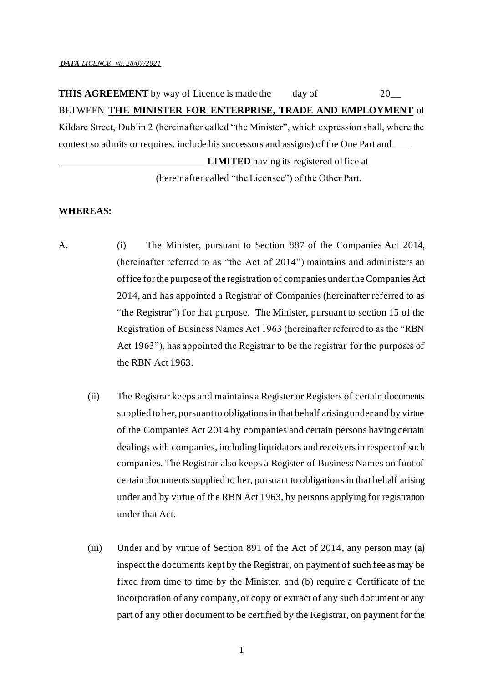**THIS AGREEMENT** by way of Licence is made the day of 20\_\_ BETWEEN **THE MINISTER FOR ENTERPRISE, TRADE AND EMPLOYMENT** of Kildare Street, Dublin 2 (hereinafter called "the Minister", which expression shall, where the context so admits or requires, include his successors and assigns) of the One Part and **LIMITED** having its registered office at (hereinafter called "the Licensee") of the Other Part.

#### **WHEREAS:**

- A. (i) The Minister, pursuant to Section 887 of the Companies Act 2014, (hereinafter referred to as "the Act of 2014") maintains and administers an office for the purpose of the registration of companies under the Companies Act 2014, and has appointed a Registrar of Companies (hereinafter referred to as "the Registrar") for that purpose. The Minister, pursuant to section 15 of the Registration of Business Names Act 1963 (hereinafter referred to as the "RBN Act 1963"), has appointed the Registrar to be the registrar for the purposes of the RBN Act 1963.
	- (ii) The Registrar keeps and maintains a Register or Registers of certain documents supplied to her, pursuant to obligations in that behalf arising under and by virtue of the Companies Act 2014 by companies and certain persons having certain dealings with companies, including liquidators and receivers in respect of such companies. The Registrar also keeps a Register of Business Names on foot of certain documents supplied to her, pursuant to obligations in that behalf arising under and by virtue of the RBN Act 1963, by persons applying for registration under that Act.
	- (iii) Under and by virtue of Section 891 of the Act of 2014, any person may (a) inspect the documents kept by the Registrar, on payment of such fee as may be fixed from time to time by the Minister, and (b) require a Certificate of the incorporation of any company, or copy or extract of any such document or any part of any other document to be certified by the Registrar, on payment for the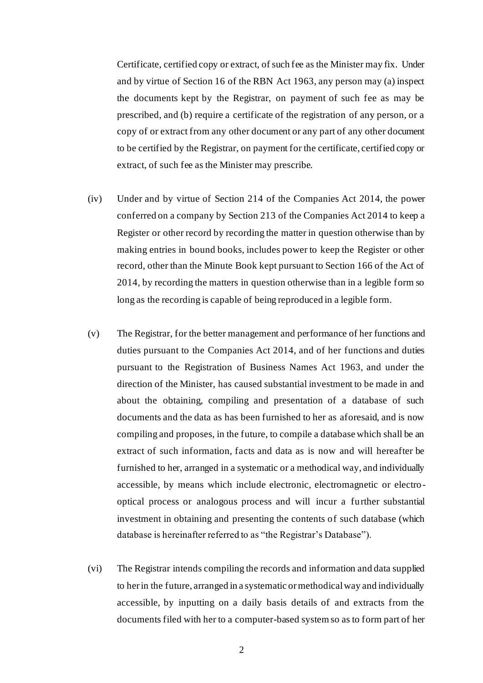Certificate, certified copy or extract, of such fee as the Minister may fix. Under and by virtue of Section 16 of the RBN Act 1963, any person may (a) inspect the documents kept by the Registrar, on payment of such fee as may be prescribed, and (b) require a certificate of the registration of any person, or a copy of or extract from any other document or any part of any other document to be certified by the Registrar, on payment for the certificate, certified copy or extract, of such fee as the Minister may prescribe.

- (iv) Under and by virtue of Section 214 of the Companies Act 2014, the power conferred on a company by Section 213 of the Companies Act 2014 to keep a Register or other record by recording the matter in question otherwise than by making entries in bound books, includes power to keep the Register or other record, other than the Minute Book kept pursuant to Section 166 of the Act of 2014, by recording the matters in question otherwise than in a legible form so long as the recording is capable of being reproduced in a legible form.
- (v) The Registrar, for the better management and performance of her functions and duties pursuant to the Companies Act 2014, and of her functions and duties pursuant to the Registration of Business Names Act 1963, and under the direction of the Minister, has caused substantial investment to be made in and about the obtaining, compiling and presentation of a database of such documents and the data as has been furnished to her as aforesaid, and is now compiling and proposes, in the future, to compile a database which shall be an extract of such information, facts and data as is now and will hereafter be furnished to her, arranged in a systematic or a methodical way, and individually accessible, by means which include electronic, electromagnetic or electrooptical process or analogous process and will incur a further substantial investment in obtaining and presenting the contents of such database (which database is hereinafter referred to as "the Registrar's Database").
- (vi) The Registrar intends compiling the records and information and data supplied to her in the future, arranged in a systematic or methodical way and individually accessible, by inputting on a daily basis details of and extracts from the documents filed with her to a computer-based system so as to form part of her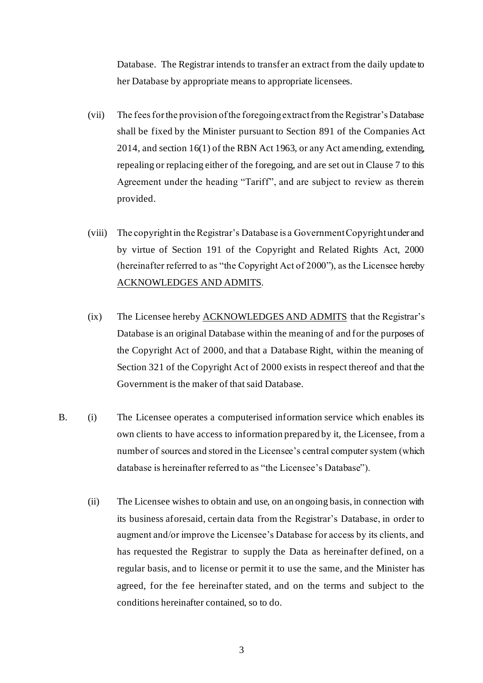Database. The Registrar intends to transfer an extract from the daily update to her Database by appropriate means to appropriate licensees.

- (vii) The fees for the provision of the foregoing extract from the Registrar's Database shall be fixed by the Minister pursuant to Section 891 of the Companies Act 2014, and section 16(1) of the RBN Act 1963, or any Act amending, extending, repealing or replacing either of the foregoing, and are set out in Clause 7 to this Agreement under the heading "Tariff", and are subject to review as therein provided.
- (viii) The copyright in the Registrar's Database is a Government Copyright under and by virtue of Section 191 of the Copyright and Related Rights Act, 2000 (hereinafter referred to as "the Copyright Act of 2000"), as the Licensee hereby ACKNOWLEDGES AND ADMITS.
- (ix) The Licensee hereby ACKNOWLEDGES AND ADMITS that the Registrar's Database is an original Database within the meaning of and for the purposes of the Copyright Act of 2000, and that a Database Right, within the meaning of Section 321 of the Copyright Act of 2000 exists in respect thereof and that the Government is the maker of that said Database.
- B. (i) The Licensee operates a computerised information service which enables its own clients to have access to information prepared by it, the Licensee, from a number of sources and stored in the Licensee's central computer system (which database is hereinafter referred to as "the Licensee's Database").
	- (ii) The Licensee wishes to obtain and use, on an ongoing basis, in connection with its business aforesaid, certain data from the Registrar's Database, in order to augment and/or improve the Licensee's Database for access by its clients, and has requested the Registrar to supply the Data as hereinafter defined, on a regular basis, and to license or permit it to use the same, and the Minister has agreed, for the fee hereinafter stated, and on the terms and subject to the conditions hereinafter contained, so to do.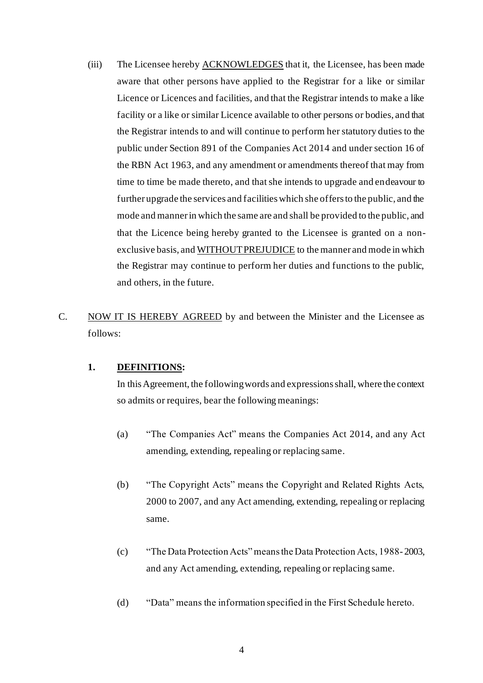- (iii) The Licensee hereby **ACKNOWLEDGES** that it, the Licensee, has been made aware that other persons have applied to the Registrar for a like or similar Licence or Licences and facilities, and that the Registrar intends to make a like facility or a like or similar Licence available to other persons or bodies, and that the Registrar intends to and will continue to perform her statutory duties to the public under Section 891 of the Companies Act 2014 and under section 16 of the RBN Act 1963, and any amendment or amendments thereof that may from time to time be made thereto, and that she intends to upgrade and endeavour to further upgrade the services and facilities which she offers to the public, and the mode and manner in which the same are and shall be provided to the public, and that the Licence being hereby granted to the Licensee is granted on a nonexclusive basis, and WITHOUT PREJUDICE to the manner and mode in which the Registrar may continue to perform her duties and functions to the public, and others, in the future.
- C. NOW IT IS HEREBY AGREED by and between the Minister and the Licensee as follows:

### **1. DEFINITIONS:**

In this Agreement, the following words and expressions shall, where the context so admits or requires, bear the following meanings:

- (a) "The Companies Act" means the Companies Act 2014, and any Act amending, extending, repealing or replacing same.
- (b) "The Copyright Acts" means the Copyright and Related Rights Acts, 2000 to 2007, and any Act amending, extending, repealing or replacing same.
- (c) "The Data Protection Acts" means the Data Protection Acts, 1988- 2003, and any Act amending, extending, repealing or replacing same.
- (d) "Data" means the information specified in the First Schedule hereto.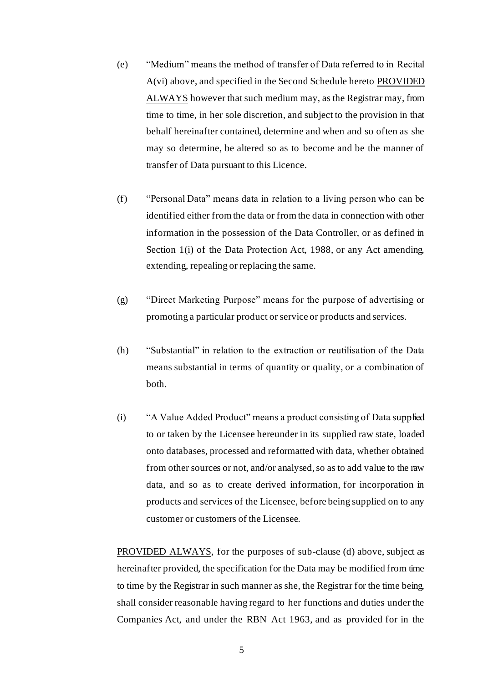- (e) "Medium" means the method of transfer of Data referred to in Recital A(vi) above, and specified in the Second Schedule hereto PROVIDED ALWAYS however that such medium may, as the Registrar may, from time to time, in her sole discretion, and subject to the provision in that behalf hereinafter contained, determine and when and so often as she may so determine, be altered so as to become and be the manner of transfer of Data pursuant to this Licence.
- (f) "Personal Data" means data in relation to a living person who can be identified either from the data or from the data in connection with other information in the possession of the Data Controller, or as defined in Section 1(i) of the Data Protection Act, 1988, or any Act amending, extending, repealing or replacing the same.
- (g) "Direct Marketing Purpose" means for the purpose of advertising or promoting a particular product or service or products and services.
- (h) "Substantial" in relation to the extraction or reutilisation of the Data means substantial in terms of quantity or quality, or a combination of both.
- (i) "A Value Added Product" means a product consisting of Data supplied to or taken by the Licensee hereunder in its supplied raw state, loaded onto databases, processed and reformatted with data, whether obtained from other sources or not, and/or analysed, so as to add value to the raw data, and so as to create derived information, for incorporation in products and services of the Licensee, before being supplied on to any customer or customers of the Licensee.

PROVIDED ALWAYS, for the purposes of sub-clause (d) above, subject as hereinafter provided, the specification for the Data may be modified from time to time by the Registrar in such manner as she, the Registrar for the time being, shall consider reasonable having regard to her functions and duties under the Companies Act, and under the RBN Act 1963, and as provided for in the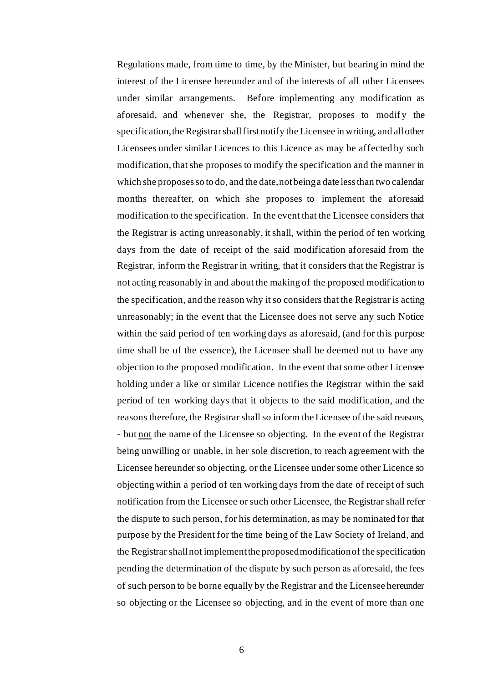Regulations made, from time to time, by the Minister, but bearing in mind the interest of the Licensee hereunder and of the interests of all other Licensees under similar arrangements. Before implementing any modification as aforesaid, and whenever she, the Registrar, proposes to modify the specification, the Registrar shall first notify the Licensee in writing, and all other Licensees under similar Licences to this Licence as may be affected by such modification, that she proposes to modify the specification and the manner in which she proposes so to do, and the date, not being a date less than two calendar months thereafter, on which she proposes to implement the aforesaid modification to the specification. In the event that the Licensee considers that the Registrar is acting unreasonably, it shall, within the period of ten working days from the date of receipt of the said modification aforesaid from the Registrar, inform the Registrar in writing, that it considers that the Registrar is not acting reasonably in and about the making of the proposed modification to the specification, and the reason why it so considers that the Registrar is acting unreasonably; in the event that the Licensee does not serve any such Notice within the said period of ten working days as aforesaid, (and for this purpose time shall be of the essence), the Licensee shall be deemed not to have any objection to the proposed modification. In the event that some other Licensee holding under a like or similar Licence notifies the Registrar within the said period of ten working days that it objects to the said modification, and the reasons therefore, the Registrar shall so inform the Licensee of the said reasons, - but not the name of the Licensee so objecting. In the event of the Registrar being unwilling or unable, in her sole discretion, to reach agreement with the Licensee hereunder so objecting, or the Licensee under some other Licence so objecting within a period of ten working days from the date of receipt of such notification from the Licensee or such other Licensee, the Registrar shall refer the dispute to such person, for his determination, as may be nominated for that purpose by the President for the time being of the Law Society of Ireland, and the Registrar shall not implement the proposed modification of the specification pending the determination of the dispute by such person as aforesaid, the fees of such person to be borne equally by the Registrar and the Licensee hereunder so objecting or the Licensee so objecting, and in the event of more than one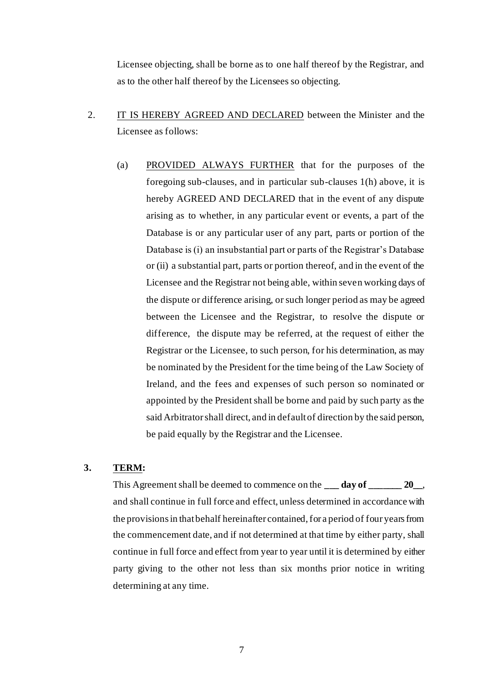Licensee objecting, shall be borne as to one half thereof by the Registrar, and as to the other half thereof by the Licensees so objecting.

- 2. IT IS HEREBY AGREED AND DECLARED between the Minister and the Licensee as follows:
	- (a) PROVIDED ALWAYS FURTHER that for the purposes of the foregoing sub-clauses, and in particular sub-clauses 1(h) above, it is hereby AGREED AND DECLARED that in the event of any dispute arising as to whether, in any particular event or events, a part of the Database is or any particular user of any part, parts or portion of the Database is (i) an insubstantial part or parts of the Registrar's Database or (ii) a substantial part, parts or portion thereof, and in the event of the Licensee and the Registrar not being able, within seven working days of the dispute or difference arising, or such longer period as may be agreed between the Licensee and the Registrar, to resolve the dispute or difference, the dispute may be referred, at the request of either the Registrar or the Licensee, to such person, for his determination, as may be nominated by the President for the time being of the Law Society of Ireland, and the fees and expenses of such person so nominated or appointed by the President shall be borne and paid by such party as the said Arbitrator shall direct, and in default of direction by the said person, be paid equally by the Registrar and the Licensee.

# **3. TERM:**

This Agreement shall be deemed to commence on the **\_\_\_ day of \_\_\_\_\_\_\_ 20\_\_**, and shall continue in full force and effect, unless determined in accordance with the provisions in that behalf hereinafter contained, for a period of four years from the commencement date, and if not determined at that time by either party, shall continue in full force and effect from year to year until it is determined by either party giving to the other not less than six months prior notice in writing determining at any time.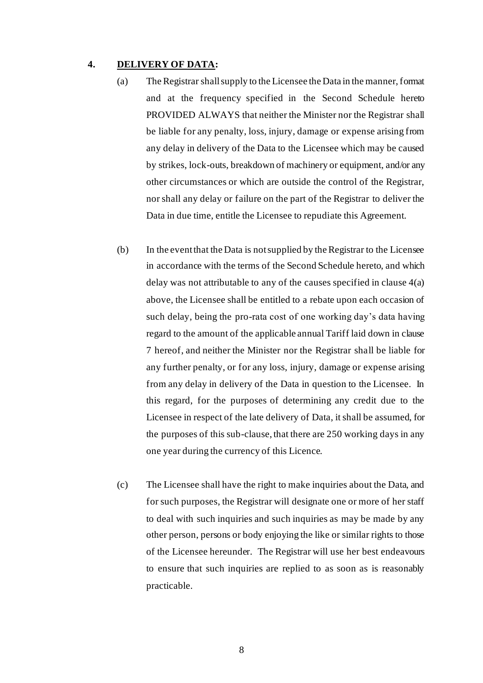#### **4. DELIVERY OF DATA:**

- (a) The Registrar shall supply to the Licensee the Data in the manner, format and at the frequency specified in the Second Schedule hereto PROVIDED ALWAYS that neither the Minister nor the Registrar shall be liable for any penalty, loss, injury, damage or expense arising from any delay in delivery of the Data to the Licensee which may be caused by strikes, lock-outs, breakdown of machinery or equipment, and/or any other circumstances or which are outside the control of the Registrar, nor shall any delay or failure on the part of the Registrar to deliver the Data in due time, entitle the Licensee to repudiate this Agreement.
- (b) In the event that the Data is not supplied by the Registrar to the Licensee in accordance with the terms of the Second Schedule hereto, and which delay was not attributable to any of the causes specified in clause 4(a) above, the Licensee shall be entitled to a rebate upon each occasion of such delay, being the pro-rata cost of one working day's data having regard to the amount of the applicable annual Tariff laid down in clause 7 hereof, and neither the Minister nor the Registrar shall be liable for any further penalty, or for any loss, injury, damage or expense arising from any delay in delivery of the Data in question to the Licensee. In this regard, for the purposes of determining any credit due to the Licensee in respect of the late delivery of Data, it shall be assumed, for the purposes of this sub-clause, that there are 250 working days in any one year during the currency of this Licence.
- (c) The Licensee shall have the right to make inquiries about the Data, and for such purposes, the Registrar will designate one or more of her staff to deal with such inquiries and such inquiries as may be made by any other person, persons or body enjoying the like or similar rights to those of the Licensee hereunder. The Registrar will use her best endeavours to ensure that such inquiries are replied to as soon as is reasonably practicable.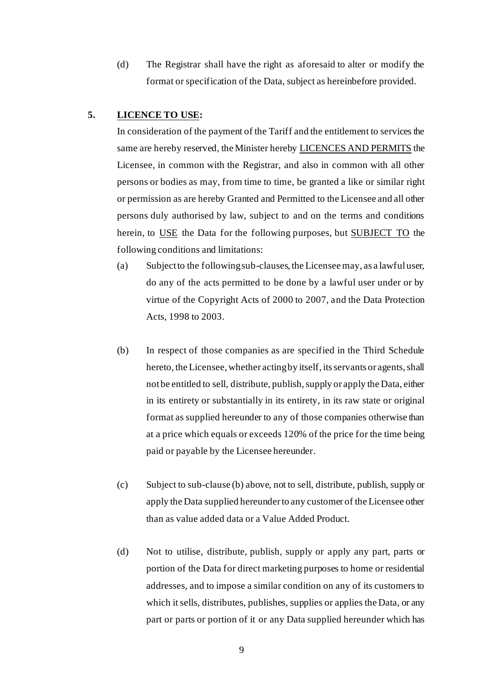(d) The Registrar shall have the right as aforesaid to alter or modify the format or specification of the Data, subject as hereinbefore provided.

### **5. LICENCE TO USE:**

In consideration of the payment of the Tariff and the entitlement to services the same are hereby reserved, the Minister hereby LICENCES AND PERMITS the Licensee, in common with the Registrar, and also in common with all other persons or bodies as may, from time to time, be granted a like or similar right or permission as are hereby Granted and Permitted to the Licensee and all other persons duly authorised by law, subject to and on the terms and conditions herein, to USE the Data for the following purposes, but SUBJECT TO the following conditions and limitations:

- (a) Subject to the following sub-clauses, the Licensee may, as a lawful user, do any of the acts permitted to be done by a lawful user under or by virtue of the Copyright Acts of 2000 to 2007, and the Data Protection Acts, 1998 to 2003.
- (b) In respect of those companies as are specified in the Third Schedule hereto, the Licensee, whether acting by itself, its servants or agents, shall not be entitled to sell, distribute, publish, supply or apply the Data, either in its entirety or substantially in its entirety, in its raw state or original format as supplied hereunder to any of those companies otherwise than at a price which equals or exceeds 120% of the price for the time being paid or payable by the Licensee hereunder.
- (c) Subject to sub-clause (b) above, not to sell, distribute, publish, supply or apply the Data supplied hereunder to any customer of the Licensee other than as value added data or a Value Added Product.
- (d) Not to utilise, distribute, publish, supply or apply any part, parts or portion of the Data for direct marketing purposes to home or residential addresses, and to impose a similar condition on any of its customers to which it sells, distributes, publishes, supplies or applies the Data, or any part or parts or portion of it or any Data supplied hereunder which has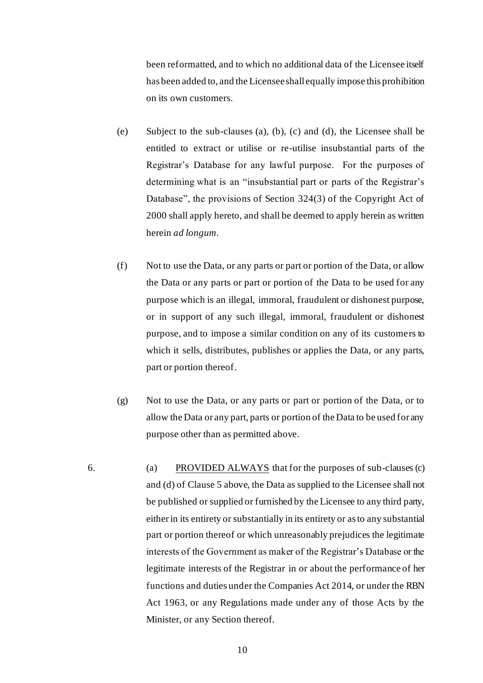been reformatted, and to which no additional data of the Licensee itself has been added to, and the Licensee shall equally impose this prohibition on its own customers.

- (e) Subject to the sub-clauses (a), (b), (c) and (d), the Licensee shall be entitled to extract or utilise or re-utilise insubstantial parts of the Registrar's Database for any lawful purpose. For the purposes of determining what is an "insubstantial part or parts of the Registrar's Database", the provisions of Section 324(3) of the Copyright Act of 2000 shall apply hereto, and shall be deemed to apply herein as written herein *ad longum*.
- (f) Not to use the Data, or any parts or part or portion of the Data, or allow the Data or any parts or part or portion of the Data to be used for any purpose which is an illegal, immoral, fraudulent or dishonest purpose, or in support of any such illegal, immoral, fraudulent or dishonest purpose, and to impose a similar condition on any of its customers to which it sells, distributes, publishes or applies the Data, or any parts, part or portion thereof.
- (g) Not to use the Data, or any parts or part or portion of the Data, or to allow the Data or any part, parts or portion of the Data to be used for any purpose other than as permitted above.
- 6. (a) PROVIDED ALWAYS that for the purposes of sub-clauses (c) and (d) of Clause 5 above, the Data as supplied to the Licensee shall not be published or supplied or furnished by the Licensee to any third party, either in its entirety or substantially in its entirety or as to any substantial part or portion thereof or which unreasonably prejudices the legitimate interests of the Government as maker of the Registrar's Database or the legitimate interests of the Registrar in or about the performance of her functions and duties under the Companies Act 2014, or under the RBN Act 1963, or any Regulations made under any of those Acts by the Minister, or any Section thereof.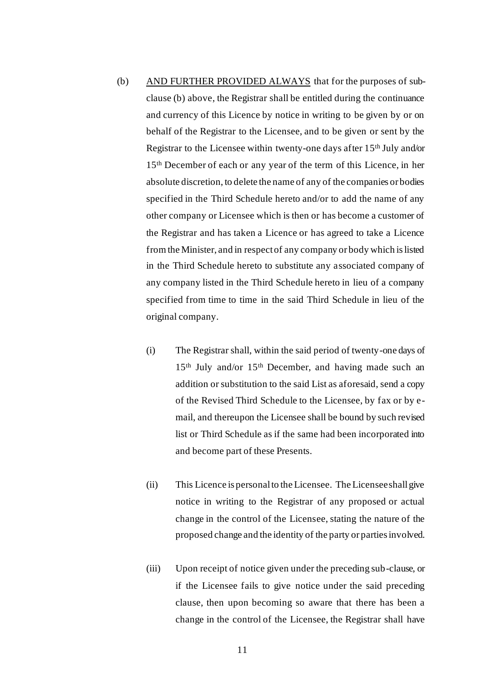- (b) AND FURTHER PROVIDED ALWAYS that for the purposes of subclause (b) above, the Registrar shall be entitled during the continuance and currency of this Licence by notice in writing to be given by or on behalf of the Registrar to the Licensee, and to be given or sent by the Registrar to the Licensee within twenty-one days after 15<sup>th</sup> July and/or 15th December of each or any year of the term of this Licence, in her absolute discretion, to delete the name of any of the companies or bodies specified in the Third Schedule hereto and/or to add the name of any other company or Licensee which is then or has become a customer of the Registrar and has taken a Licence or has agreed to take a Licence from the Minister, and in respect of any company or body which is listed in the Third Schedule hereto to substitute any associated company of any company listed in the Third Schedule hereto in lieu of a company specified from time to time in the said Third Schedule in lieu of the original company.
	- (i) The Registrar shall, within the said period of twenty-one days of 15th July and/or 15th December, and having made such an addition or substitution to the said List as aforesaid, send a copy of the Revised Third Schedule to the Licensee, by fax or by email, and thereupon the Licensee shall be bound by such revised list or Third Schedule as if the same had been incorporated into and become part of these Presents.
	- (ii) This Licence is personal to the Licensee. The Licensee shall give notice in writing to the Registrar of any proposed or actual change in the control of the Licensee, stating the nature of the proposed change and the identity of the party or parties involved.
	- (iii) Upon receipt of notice given under the preceding sub-clause, or if the Licensee fails to give notice under the said preceding clause, then upon becoming so aware that there has been a change in the control of the Licensee, the Registrar shall have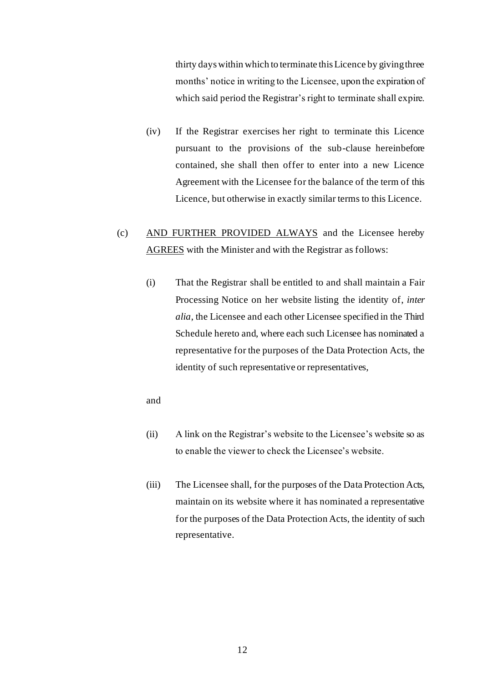thirty days within which to terminate this Licence by giving three months' notice in writing to the Licensee, upon the expiration of which said period the Registrar's right to terminate shall expire.

- (iv) If the Registrar exercises her right to terminate this Licence pursuant to the provisions of the sub-clause hereinbefore contained, she shall then offer to enter into a new Licence Agreement with the Licensee for the balance of the term of this Licence, but otherwise in exactly similar terms to this Licence.
- (c) AND FURTHER PROVIDED ALWAYS and the Licensee hereby AGREES with the Minister and with the Registrar as follows:
	- (i) That the Registrar shall be entitled to and shall maintain a Fair Processing Notice on her website listing the identity of, *inter alia*, the Licensee and each other Licensee specified in the Third Schedule hereto and, where each such Licensee has nominated a representative for the purposes of the Data Protection Acts, the identity of such representative or representatives,

#### and

- (ii) A link on the Registrar's website to the Licensee's website so as to enable the viewer to check the Licensee's website.
- (iii) The Licensee shall, for the purposes of the Data Protection Acts, maintain on its website where it has nominated a representative for the purposes of the Data Protection Acts, the identity of such representative.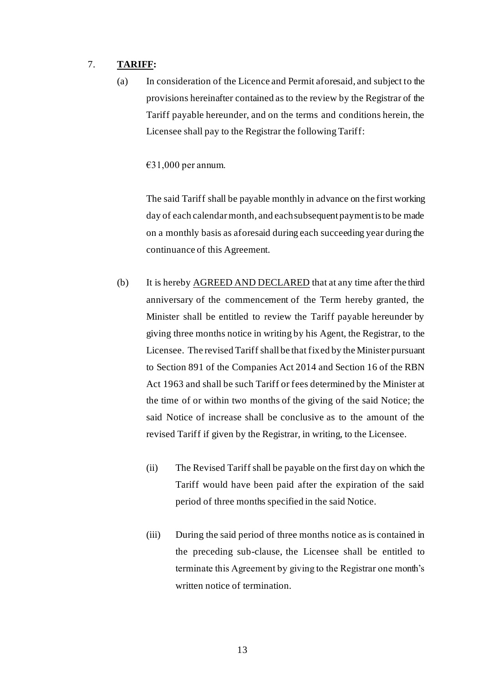### 7. **TARIFF:**

(a) In consideration of the Licence and Permit aforesaid, and subject to the provisions hereinafter contained as to the review by the Registrar of the Tariff payable hereunder, and on the terms and conditions herein, the Licensee shall pay to the Registrar the following Tariff:

 $€31,000$  per annum.

The said Tariff shall be payable monthly in advance on the first working day of each calendar month, and each subsequent payment is to be made on a monthly basis as aforesaid during each succeeding year during the continuance of this Agreement.

- (b) It is hereby AGREED AND DECLARED that at any time after the third anniversary of the commencement of the Term hereby granted, the Minister shall be entitled to review the Tariff payable hereunder by giving three months notice in writing by his Agent, the Registrar, to the Licensee. The revised Tariff shall be that fixed by the Minister pursuant to Section 891 of the Companies Act 2014 and Section 16 of the RBN Act 1963 and shall be such Tariff or fees determined by the Minister at the time of or within two months of the giving of the said Notice; the said Notice of increase shall be conclusive as to the amount of the revised Tariff if given by the Registrar, in writing, to the Licensee.
	- (ii) The Revised Tariff shall be payable on the first day on which the Tariff would have been paid after the expiration of the said period of three months specified in the said Notice.
	- (iii) During the said period of three months notice as is contained in the preceding sub-clause, the Licensee shall be entitled to terminate this Agreement by giving to the Registrar one month's written notice of termination.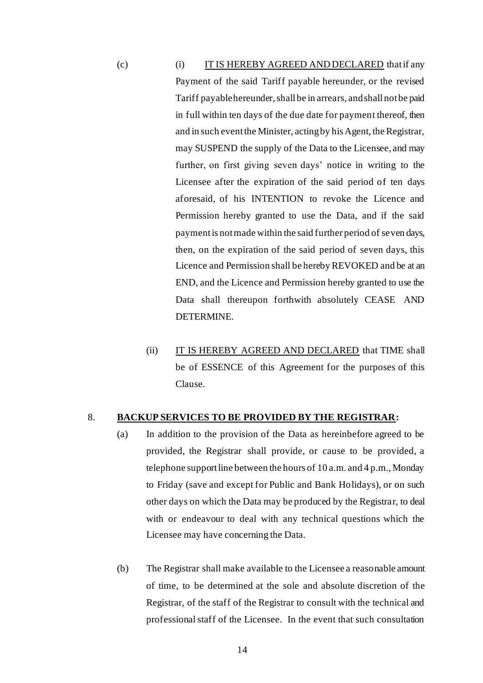(c) IT IS HEREBY AGREED AND DECLARED that if any Payment of the said Tariff payable hereunder, or the revised Tariff payable hereunder, shall be in arrears, and shall not be paid in full within ten days of the due date for payment thereof, then and in such event the Minister, acting by his Agent, the Registrar, may SUSPEND the supply of the Data to the Licensee, and may further, on first giving seven days' notice in writing to the Licensee after the expiration of the said period of ten days aforesaid, of his INTENTION to revoke the Licence and Permission hereby granted to use the Data, and if the said payment is not made within the said further period of seven days, then, on the expiration of the said period of seven days, this Licence and Permission shall be hereby REVOKED and be at an END, and the Licence and Permission hereby granted to use the Data shall thereupon forthwith absolutely CEASE AND DETERMINE.

(ii) IT IS HEREBY AGREED AND DECLARED that TIME shall be of ESSENCE of this Agreement for the purposes of this Clause.

#### 8. **BACKUP SERVICES TO BE PROVIDED BY THE REGISTRAR:**

- (a) In addition to the provision of the Data as hereinbefore agreed to be provided, the Registrar shall provide, or cause to be provided, a telephone support line between the hours of 10 a.m. and 4 p.m., Monday to Friday (save and except for Public and Bank Holidays), or on such other days on which the Data may be produced by the Registrar, to deal with or endeavour to deal with any technical questions which the Licensee may have concerning the Data.
- (b) The Registrar shall make available to the Licensee a reasonable amount of time, to be determined at the sole and absolute discretion of the Registrar, of the staff of the Registrar to consult with the technical and professional staff of the Licensee. In the event that such consultation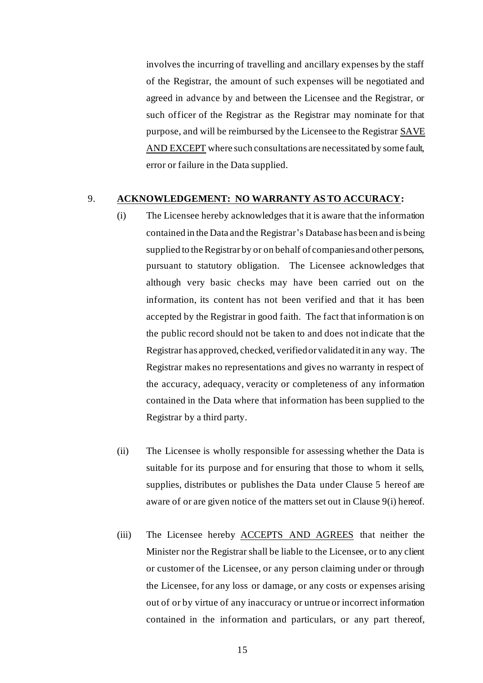involves the incurring of travelling and ancillary expenses by the staff of the Registrar, the amount of such expenses will be negotiated and agreed in advance by and between the Licensee and the Registrar, or such officer of the Registrar as the Registrar may nominate for that purpose, and will be reimbursed by the Licensee to the Registrar SAVE AND EXCEPT where such consultations are necessitated by some fault, error or failure in the Data supplied.

#### 9. **ACKNOWLEDGEMENT: NO WARRANTY AS TO ACCURACY:**

- (i) The Licensee hereby acknowledges that it is aware that the information contained in the Data and the Registrar's Database has been and is being supplied to the Registrar by or on behalf of companies and other persons, pursuant to statutory obligation. The Licensee acknowledges that although very basic checks may have been carried out on the information, its content has not been verified and that it has been accepted by the Registrar in good faith. The fact that information is on the public record should not be taken to and does not indicate that the Registrar has approved, checked, verified or validated it in any way. The Registrar makes no representations and gives no warranty in respect of the accuracy, adequacy, veracity or completeness of any information contained in the Data where that information has been supplied to the Registrar by a third party.
- (ii) The Licensee is wholly responsible for assessing whether the Data is suitable for its purpose and for ensuring that those to whom it sells, supplies, distributes or publishes the Data under Clause 5 hereof are aware of or are given notice of the matters set out in Clause 9(i) hereof.
- (iii) The Licensee hereby **ACCEPTS** AND AGREES that neither the Minister nor the Registrar shall be liable to the Licensee, or to any client or customer of the Licensee, or any person claiming under or through the Licensee, for any loss or damage, or any costs or expenses arising out of or by virtue of any inaccuracy or untrue or incorrect information contained in the information and particulars, or any part thereof,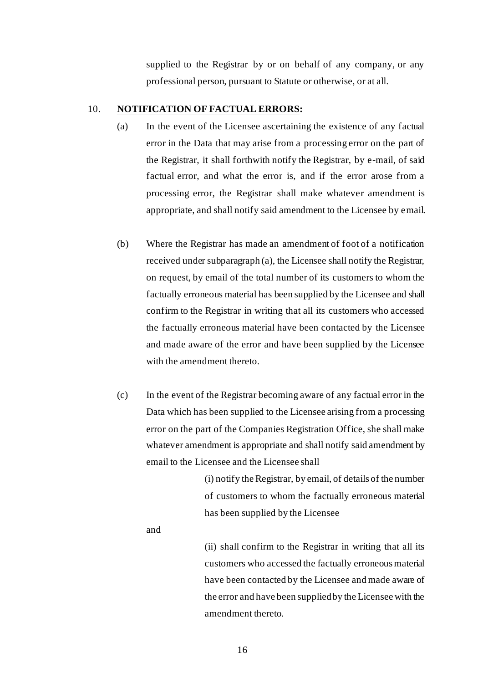supplied to the Registrar by or on behalf of any company, or any professional person, pursuant to Statute or otherwise, or at all.

#### 10. **NOTIFICATION OF FACTUAL ERRORS:**

- (a) In the event of the Licensee ascertaining the existence of any factual error in the Data that may arise from a processing error on the part of the Registrar, it shall forthwith notify the Registrar, by e-mail, of said factual error, and what the error is, and if the error arose from a processing error, the Registrar shall make whatever amendment is appropriate, and shall notify said amendment to the Licensee by email.
- (b) Where the Registrar has made an amendment of foot of a notification received under subparagraph (a), the Licensee shall notify the Registrar, on request, by email of the total number of its customers to whom the factually erroneous material has been supplied by the Licensee and shall confirm to the Registrar in writing that all its customers who accessed the factually erroneous material have been contacted by the Licensee and made aware of the error and have been supplied by the Licensee with the amendment thereto.
- (c) In the event of the Registrar becoming aware of any factual error in the Data which has been supplied to the Licensee arising from a processing error on the part of the Companies Registration Office, she shall make whatever amendment is appropriate and shall notify said amendment by email to the Licensee and the Licensee shall

(i) notify the Registrar, by email, of details of the number of customers to whom the factually erroneous material has been supplied by the Licensee

and

(ii) shall confirm to the Registrar in writing that all its customers who accessed the factually erroneous material have been contacted by the Licensee and made aware of the error and have been supplied by the Licensee with the amendment thereto.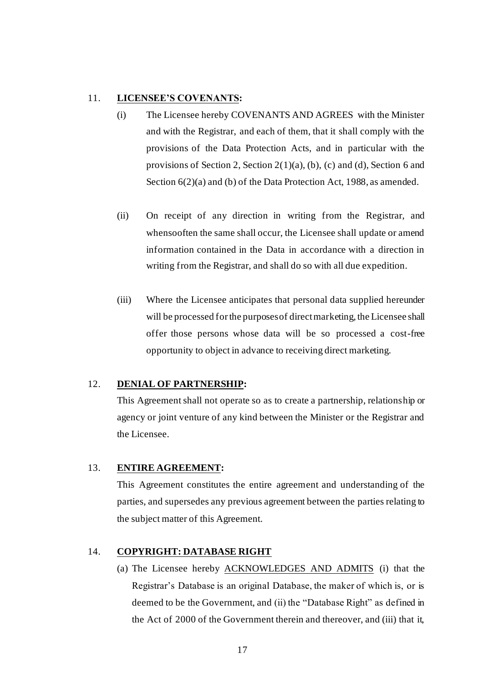#### 11. **LICENSEE'S COVENANTS:**

- (i) The Licensee hereby COVENANTS AND AGREES with the Minister and with the Registrar, and each of them, that it shall comply with the provisions of the Data Protection Acts, and in particular with the provisions of Section 2, Section 2(1)(a), (b), (c) and (d), Section 6 and Section  $6(2)(a)$  and (b) of the Data Protection Act, 1988, as amended.
- (ii) On receipt of any direction in writing from the Registrar, and whensooften the same shall occur, the Licensee shall update or amend information contained in the Data in accordance with a direction in writing from the Registrar, and shall do so with all due expedition.
- (iii) Where the Licensee anticipates that personal data supplied hereunder will be processed for the purposes of direct marketing, the Licensee shall offer those persons whose data will be so processed a cost-free opportunity to object in advance to receiving direct marketing.

### 12. **DENIAL OF PARTNERSHIP:**

This Agreement shall not operate so as to create a partnership, relationship or agency or joint venture of any kind between the Minister or the Registrar and the Licensee.

### 13. **ENTIRE AGREEMENT:**

This Agreement constitutes the entire agreement and understanding of the parties, and supersedes any previous agreement between the parties relating to the subject matter of this Agreement.

### 14. **COPYRIGHT: DATABASE RIGHT**

(a) The Licensee hereby ACKNOWLEDGES AND ADMITS (i) that the Registrar's Database is an original Database, the maker of which is, or is deemed to be the Government, and (ii) the "Database Right" as defined in the Act of 2000 of the Government therein and thereover, and (iii) that it,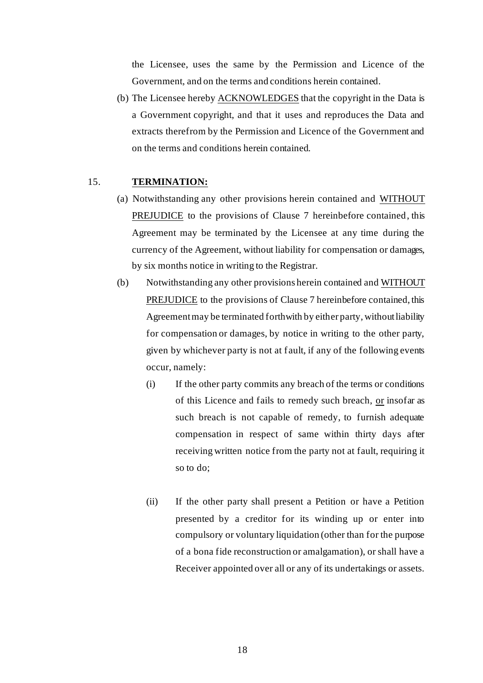the Licensee, uses the same by the Permission and Licence of the Government, and on the terms and conditions herein contained.

(b) The Licensee hereby ACKNOWLEDGES that the copyright in the Data is a Government copyright, and that it uses and reproduces the Data and extracts therefrom by the Permission and Licence of the Government and on the terms and conditions herein contained.

### 15. **TERMINATION:**

- (a) Notwithstanding any other provisions herein contained and WITHOUT PREJUDICE to the provisions of Clause 7 hereinbefore contained, this Agreement may be terminated by the Licensee at any time during the currency of the Agreement, without liability for compensation or damages, by six months notice in writing to the Registrar.
- (b) Notwithstanding any other provisions herein contained and WITHOUT PREJUDICE to the provisions of Clause 7 hereinbefore contained, this Agreement may be terminated forthwith by either party, without liability for compensation or damages, by notice in writing to the other party, given by whichever party is not at fault, if any of the following events occur, namely:
	- (i) If the other party commits any breach of the terms or conditions of this Licence and fails to remedy such breach, or insofar as such breach is not capable of remedy, to furnish adequate compensation in respect of same within thirty days after receiving written notice from the party not at fault, requiring it so to do;
	- (ii) If the other party shall present a Petition or have a Petition presented by a creditor for its winding up or enter into compulsory or voluntary liquidation (other than for the purpose of a bona fide reconstruction or amalgamation), or shall have a Receiver appointed over all or any of its undertakings or assets.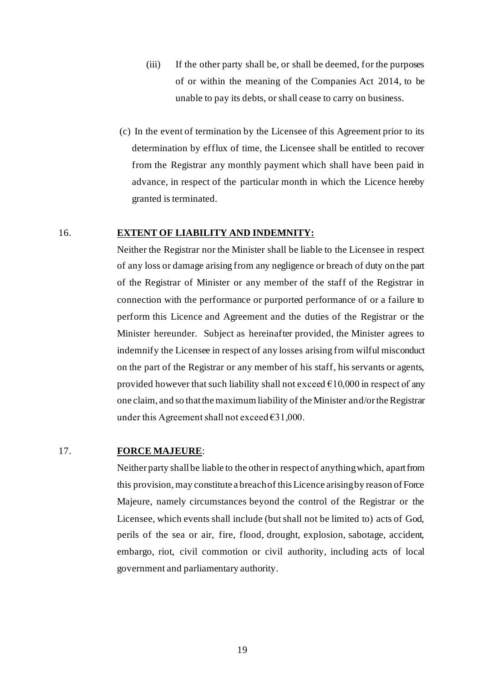- (iii) If the other party shall be, or shall be deemed, for the purposes of or within the meaning of the Companies Act 2014, to be unable to pay its debts, or shall cease to carry on business.
- (c) In the event of termination by the Licensee of this Agreement prior to its determination by efflux of time, the Licensee shall be entitled to recover from the Registrar any monthly payment which shall have been paid in advance, in respect of the particular month in which the Licence hereby granted is terminated.

#### 16. **EXTENT OF LIABILITY AND INDEMNITY:**

Neither the Registrar nor the Minister shall be liable to the Licensee in respect of any loss or damage arising from any negligence or breach of duty on the part of the Registrar of Minister or any member of the staff of the Registrar in connection with the performance or purported performance of or a failure to perform this Licence and Agreement and the duties of the Registrar or the Minister hereunder. Subject as hereinafter provided, the Minister agrees to indemnify the Licensee in respect of any losses arising from wilful misconduct on the part of the Registrar or any member of his staff, his servants or agents, provided however that such liability shall not exceed  $\epsilon$ 10,000 in respect of any one claim, and so that the maximum liability of the Minister and/or the Registrar under this Agreement shall not exceed  $\epsilon$ 31,000.

### 17. **FORCE MAJEURE**:

Neither party shall be liable to the other in respect of anything which, apart from this provision, may constitute a breach of this Licence arising by reason of Force Majeure, namely circumstances beyond the control of the Registrar or the Licensee, which events shall include (but shall not be limited to) acts of God, perils of the sea or air, fire, flood, drought, explosion, sabotage, accident, embargo, riot, civil commotion or civil authority, including acts of local government and parliamentary authority.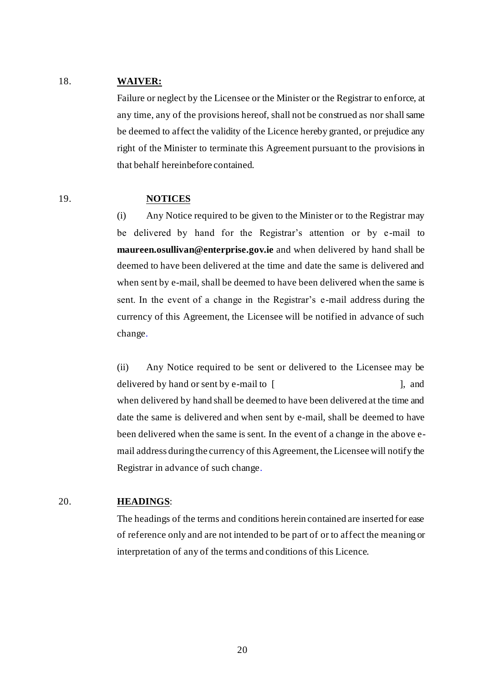### 18. **WAIVER:**

Failure or neglect by the Licensee or the Minister or the Registrar to enforce, at any time, any of the provisions hereof, shall not be construed as nor shall same be deemed to affect the validity of the Licence hereby granted, or prejudice any right of the Minister to terminate this Agreement pursuant to the provisions in that behalf hereinbefore contained.

#### 19. **NOTICES**

(i) Any Notice required to be given to the Minister or to the Registrar may be delivered by hand for the Registrar's attention or by e-mail to **maureen.osullivan@enterprise.gov.ie** and when delivered by hand shall be deemed to have been delivered at the time and date the same is delivered and when sent by e-mail, shall be deemed to have been delivered when the same is sent. In the event of a change in the Registrar's e-mail address during the currency of this Agreement, the Licensee will be notified in advance of such change.

(ii) Any Notice required to be sent or delivered to the Licensee may be delivered by hand or sent by e-mail to [ ], and when delivered by hand shall be deemed to have been delivered at the time and date the same is delivered and when sent by e-mail, shall be deemed to have been delivered when the same is sent. In the event of a change in the above email address during the currency of this Agreement, the Licensee will notify the Registrar in advance of such change.

### 20. **HEADINGS**:

The headings of the terms and conditions herein contained are inserted for ease of reference only and are not intended to be part of or to affect the meaning or interpretation of any of the terms and conditions of this Licence.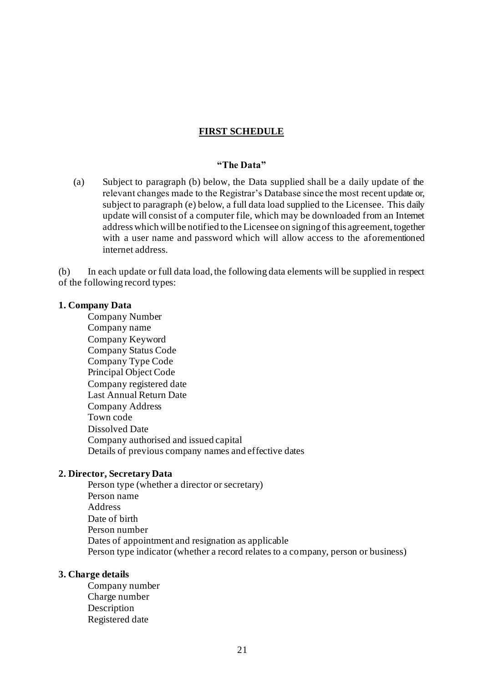### **FIRST SCHEDULE**

#### **"The Data"**

(a) Subject to paragraph (b) below, the Data supplied shall be a daily update of the relevant changes made to the Registrar's Database since the most recent update or, subject to paragraph (e) below, a full data load supplied to the Licensee. This daily update will consist of a computer file, which may be downloaded from an Internet address which will be notified to the Licensee on signing of this agreement, together with a user name and password which will allow access to the aforementioned internet address.

(b) In each update or full data load, the following data elements will be supplied in respect of the following record types:

#### **1. Company Data**

Company Number Company name Company Keyword Company Status Code Company Type Code Principal Object Code Company registered date Last Annual Return Date Company Address Town code Dissolved Date Company authorised and issued capital Details of previous company names and effective dates

#### **2. Director, Secretary Data**

Person type (whether a director or secretary) Person name Address Date of birth Person number Dates of appointment and resignation as applicable Person type indicator (whether a record relates to a company, person or business)

### **3. Charge details**

Company number Charge number Description Registered date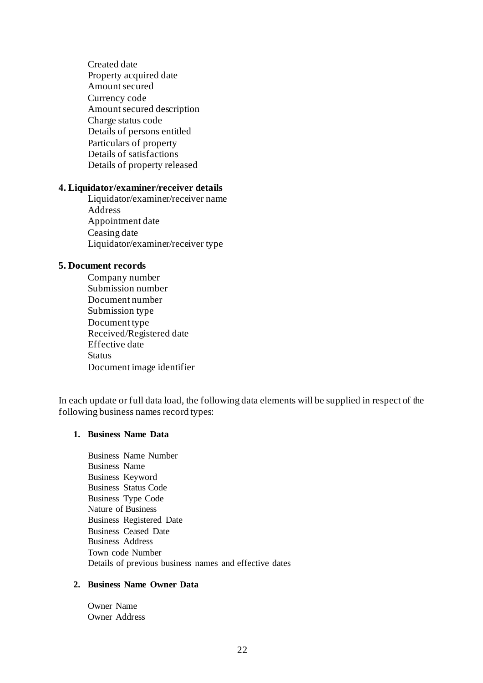Created date Property acquired date Amount secured Currency code Amount secured description Charge status code Details of persons entitled Particulars of property Details of satisfactions Details of property released

### **4. Liquidator/examiner/receiver details**

Liquidator/examiner/receiver name Address Appointment date Ceasing date Liquidator/examiner/receiver type

#### **5. Document records**

Company number Submission number Document number Submission type Document type Received/Registered date Effective date Status Document image identifier

In each update or full data load, the following data elements will be supplied in respect of the following business names record types:

### **1. Business Name Data**

Business Name Number Business Name Business Keyword Business Status Code Business Type Code Nature of Business Business Registered Date Business Ceased Date Business Address Town code Number Details of previous business names and effective dates

### **2. Business Name Owner Data**

Owner Name Owner Address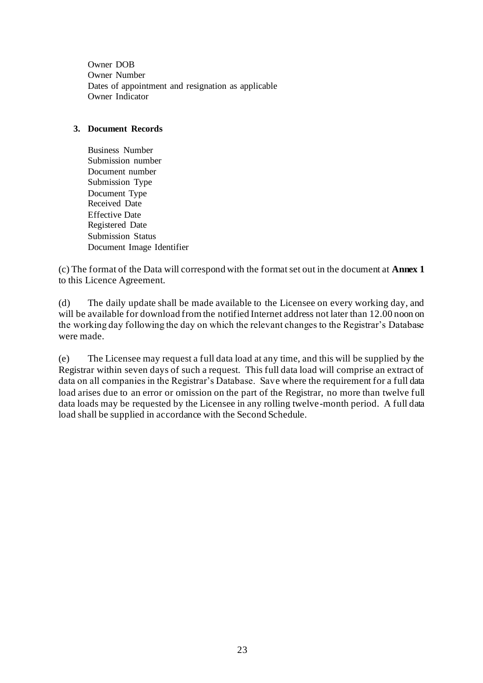Owner DOB Owner Number Dates of appointment and resignation as applicable Owner Indicator

### **3. Document Records**

Business Number Submission number Document number Submission Type Document Type Received Date Effective Date Registered Date Submission Status Document Image Identifier

(c) The format of the Data will correspond with the format set out in the document at **Annex 1** to this Licence Agreement.

(d) The daily update shall be made available to the Licensee on every working day, and will be available for download from the notified Internet address not later than 12.00 noon on the working day following the day on which the relevant changes to the Registrar's Database were made.

(e) The Licensee may request a full data load at any time, and this will be supplied by the Registrar within seven days of such a request. This full data load will comprise an extract of data on all companies in the Registrar's Database. Save where the requirement for a full data load arises due to an error or omission on the part of the Registrar, no more than twelve full data loads may be requested by the Licensee in any rolling twelve-month period. A full data load shall be supplied in accordance with the Second Schedule.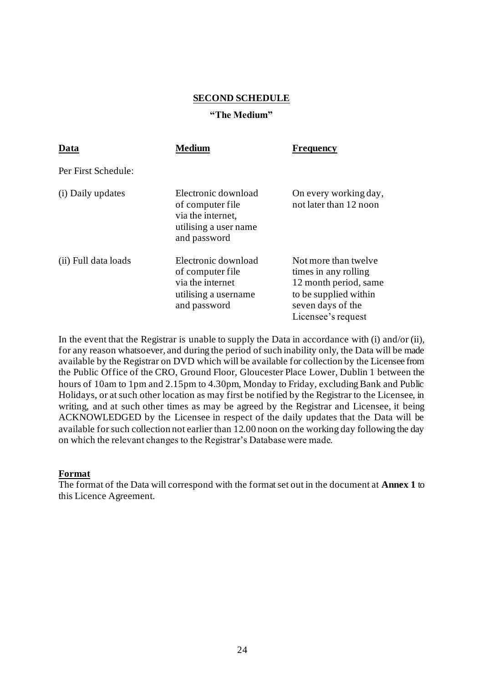#### **SECOND SCHEDULE**

#### **"The Medium"**

| Data                 | <b>Medium</b>                                                                                         | <b>Frequency</b>                                                                                                                          |
|----------------------|-------------------------------------------------------------------------------------------------------|-------------------------------------------------------------------------------------------------------------------------------------------|
| Per First Schedule:  |                                                                                                       |                                                                                                                                           |
| (i) Daily updates    | Electronic download<br>of computer file<br>via the internet,<br>utilising a user name<br>and password | On every working day,<br>not later than 12 noon                                                                                           |
| (ii) Full data loads | Electronic download<br>of computer file<br>via the internet<br>utilising a username<br>and password   | Not more than twelve<br>times in any rolling<br>12 month period, same<br>to be supplied within<br>seven days of the<br>Licensee's request |

In the event that the Registrar is unable to supply the Data in accordance with (i) and/or (ii), for any reason whatsoever, and during the period of such inability only, the Data will be made available by the Registrar on DVD which will be available for collection by the Licensee from the Public Office of the CRO, Ground Floor, Gloucester Place Lower, Dublin 1 between the hours of 10am to 1pm and 2.15pm to 4.30pm, Monday to Friday, excluding Bank and Public Holidays, or at such other location as may first be notified by the Registrar to the Licensee, in writing, and at such other times as may be agreed by the Registrar and Licensee, it being ACKNOWLEDGED by the Licensee in respect of the daily updates that the Data will be available for such collection not earlier than 12.00 noon on the working day following the day on which the relevant changes to the Registrar's Database were made.

### **Format**

The format of the Data will correspond with the format set out in the document at **Annex 1** to this Licence Agreement.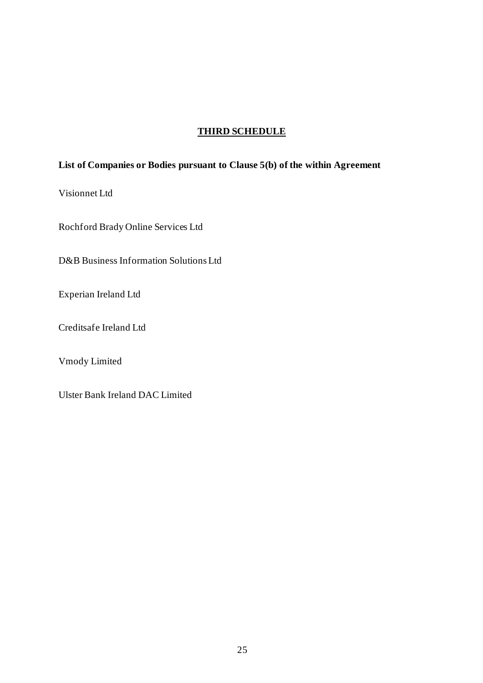# **THIRD SCHEDULE**

# **List of Companies or Bodies pursuant to Clause 5(b) of the within Agreement**

Visionnet Ltd

Rochford Brady Online Services Ltd

D&B Business Information Solutions Ltd

Experian Ireland Ltd

Creditsafe Ireland Ltd

Vmody Limited

Ulster Bank Ireland DAC Limited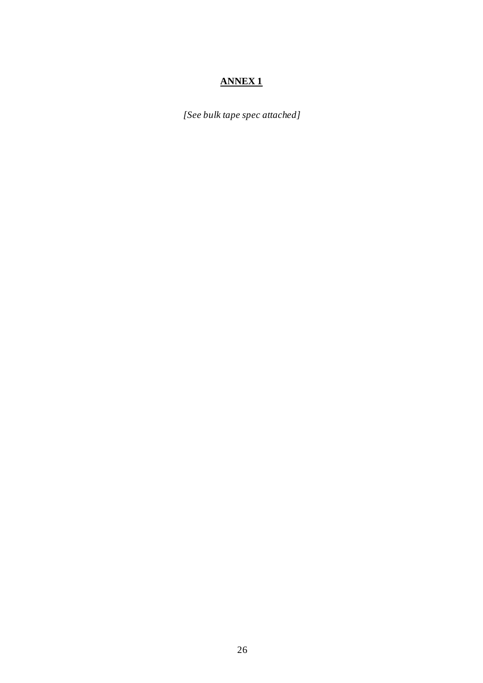# **ANNEX 1**

*[See bulk tape spec attached]*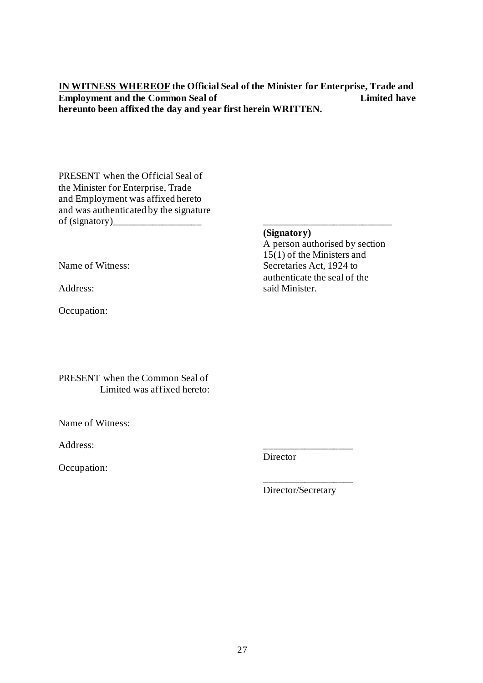**IN WITNESS WHEREOF the Official Seal of the Minister for Enterprise, Trade and Employment and the Common Seal of Limited have hereunto been affixed the day and year first herein WRITTEN.**

PRESENT when the Official Seal of the Minister for Enterprise, Trade and Employment was affixed hereto and was authenticated by the signature of (signatory)\_\_\_\_\_\_\_\_\_\_\_\_\_\_\_\_\_\_ \_\_\_\_\_\_\_\_\_\_\_\_\_\_\_\_\_\_\_\_\_\_\_\_\_\_

Occupation:

**(Signatory)**

A person authorised by section  $15(1)$  of the Ministers and Name of Witness: Secretaries Act, 1924 to authenticate the seal of the<br>Address:<br>Said Minister. said Minister.

PRESENT when the Common Seal of Limited was affixed hereto:

Name of Witness:

Address: \_\_\_\_\_\_\_\_\_\_\_\_\_\_\_\_\_\_

Occupation:

Director

Director/Secretary

\_\_\_\_\_\_\_\_\_\_\_\_\_\_\_\_\_\_